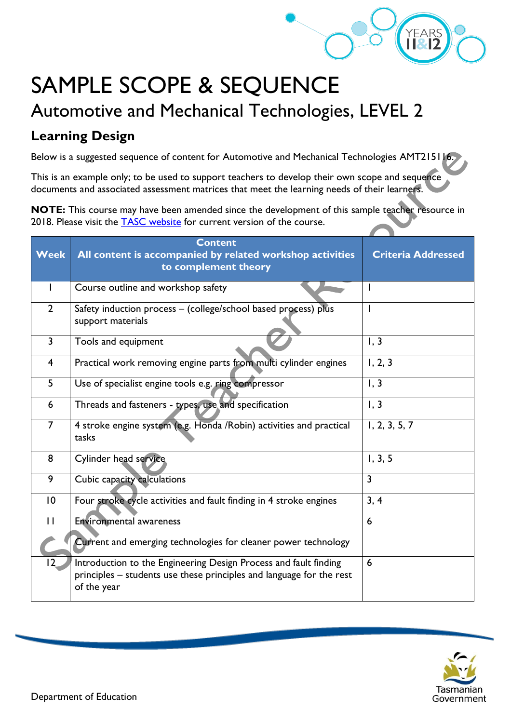

## SAMPLE SCOPE & SEQUENCE Automotive and Mechanical Technologies, LEVEL 2

## **Learning Design**

Below is a suggested sequence of content for Automotive and Mechanical Technologies AMT215116.

This is an example only; to be used to support teachers to develop their own scope and sequence documents and associated assessment matrices that meet the learning needs of their learners.

**NOTE:** This course may have been amended since the development of this sample teacher resource in 2018. Please visit the [TASC website](https://www.tasc.tas.gov.au/students/courses/a-z/) for current version of the course.

| <b>Week</b>    | <b>Content</b><br>All content is accompanied by related workshop activities<br>to complement theory                                                     | <b>Criteria Addressed</b> |
|----------------|---------------------------------------------------------------------------------------------------------------------------------------------------------|---------------------------|
|                | Course outline and workshop safety                                                                                                                      |                           |
| $\overline{2}$ | Safety induction process - (college/school based process) plus<br>support materials                                                                     |                           |
| $\overline{3}$ | Tools and equipment                                                                                                                                     | 1, 3                      |
| $\overline{4}$ | Practical work removing engine parts from multi cylinder engines                                                                                        | 1, 2, 3                   |
| 5              | Use of specialist engine tools e.g. ring compressor                                                                                                     | 1, 3                      |
| 6              | Threads and fasteners - types, use and specification                                                                                                    | 1, 3                      |
| $\overline{7}$ | 4 stroke engine system (e.g. Honda / Robin) activities and practical<br>tasks                                                                           | 1, 2, 3, 5, 7             |
| 8              | Cylinder head service                                                                                                                                   | 1, 3, 5                   |
| 9              | Cubic capacity calculations                                                                                                                             | $\overline{3}$            |
| 10             | Four stroke cycle activities and fault finding in 4 stroke engines                                                                                      | 3, 4                      |
| $\mathbf{H}$   | Environmental awareness                                                                                                                                 | 6                         |
|                | Current and emerging technologies for cleaner power technology                                                                                          |                           |
| $ 2\rangle$    | Introduction to the Engineering Design Process and fault finding<br>principles – students use these principles and language for the rest<br>of the year | 6                         |

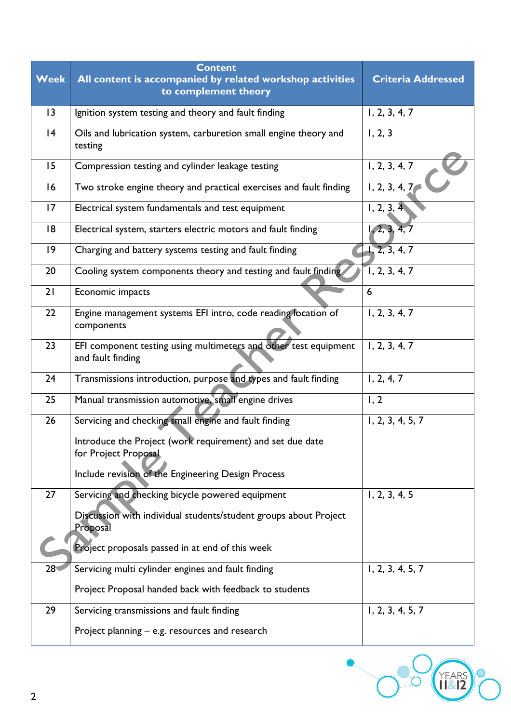| <b>Week</b> | <b>Content</b><br>All content is accompanied by related workshop activities<br>to complement theory | <b>Criteria Addressed</b>   |
|-------------|-----------------------------------------------------------------------------------------------------|-----------------------------|
| 3           | Ignition system testing and theory and fault finding                                                | 1, 2, 3, 4, 7               |
| 4           | Oils and lubrication system, carburetion small engine theory and<br>testing                         | 1, 2, 3                     |
| 15          | Compression testing and cylinder leakage testing                                                    | 1, 2, 3, 4, 7               |
| 16          | Two stroke engine theory and practical exercises and fault finding                                  | 1, 2, 3, 4, 7               |
| 17          | Electrical system fundamentals and test equipment                                                   | 1, 2, 3, 4                  |
| 18          | Electrical system, starters electric motors and fault finding                                       | 1, 2, 3, 4, 7               |
| 9           | Charging and battery systems testing and fault finding                                              | 1, 2, 3, 4, 7               |
| 20          | Cooling system components theory and testing and fault finding                                      | 1, 2, 3, 4, 7               |
| 21          | Economic impacts                                                                                    | 6                           |
| 22          | Engine management systems EFI intro, code reading location of<br>components                         | 1, 2, 3, 4, 7               |
| 23          | EFI component testing using multimeters and other test equipment<br>and fault finding               | $\overline{1}$ , 2, 3, 4, 7 |
| 24          | Transmissions introduction, purpose and types and fault finding                                     | 1, 2, 4, 7                  |
| 25          | Manual transmission automotive, small engine drives                                                 | 1, 2                        |
| 26          | Servicing and checking small engine and fault finding                                               | 1, 2, 3, 4, 5, 7            |
|             | Introduce the Project (work requirement) and set due date<br>for Project Proposal.                  |                             |
|             | Include revision of the Engineering Design Process                                                  |                             |
| 27          | Servicing and checking bicycle powered equipment                                                    | 1, 2, 3, 4, 5               |
|             | Discussion with individual students/student groups about Project<br>Proposal                        |                             |
|             | Project proposals passed in at end of this week                                                     |                             |
| $28 -$      | Servicing multi cylinder engines and fault finding                                                  | 1, 2, 3, 4, 5, 7            |
|             | Project Proposal handed back with feedback to students                                              |                             |
| 29          | Servicing transmissions and fault finding                                                           | 1, 2, 3, 4, 5, 7            |
|             | Project planning - e.g. resources and research                                                      |                             |